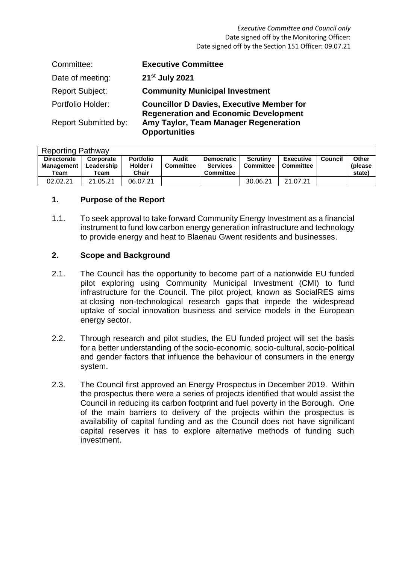#### *Executive Committee and Council only* Date signed off by the Monitoring Officer: Date signed off by the Section 151 Officer: 09.07.21

| Committee:                  | <b>Executive Committee</b>                                                                       |
|-----------------------------|--------------------------------------------------------------------------------------------------|
| Date of meeting:            | 21 <sup>st</sup> July 2021                                                                       |
| <b>Report Subject:</b>      | <b>Community Municipal Investment</b>                                                            |
| Portfolio Holder:           | <b>Councillor D Davies, Executive Member for</b><br><b>Regeneration and Economic Development</b> |
| <b>Report Submitted by:</b> | Amy Taylor, Team Manager Regeneration<br><b>Opportunities</b>                                    |

| <b>Reporting Pathway</b> |                                                 |                                 |                                       |                           |                                                          |                                     |                                      |         |                            |  |
|--------------------------|-------------------------------------------------|---------------------------------|---------------------------------------|---------------------------|----------------------------------------------------------|-------------------------------------|--------------------------------------|---------|----------------------------|--|
|                          | <b>Directorate</b><br><b>Management</b><br>Team | Corporate<br>Leadership<br>Team | <b>Portfolio</b><br>Holder /<br>Chair | Audit<br><b>Committee</b> | <b>Democratic</b><br><b>Services</b><br><b>Committee</b> | <b>Scrutiny</b><br><b>Committee</b> | <b>Executive</b><br><b>Committee</b> | Council | Other<br>(please<br>state) |  |
|                          | 02.02.21                                        | 21.05.21                        | 06.07.21                              |                           |                                                          | 30.06.21                            | 21.07.21                             |         |                            |  |

### **1. Purpose of the Report**

1.1. To seek approval to take forward Community Energy Investment as a financial instrument to fund low carbon energy generation infrastructure and technology to provide energy and heat to Blaenau Gwent residents and businesses.

### **2. Scope and Background**

- 2.1. The Council has the opportunity to become part of a nationwide EU funded pilot exploring using Community Municipal Investment (CMI) to fund infrastructure for the Council. The pilot project, known as SocialRES aims at closing non-technological research gaps that impede the widespread uptake of social innovation business and service models in the European energy sector.
- 2.2. Through research and pilot studies, the EU funded project will set the basis for a better understanding of the socio-economic, socio-cultural, socio-political and gender factors that influence the behaviour of consumers in the energy system.
- 2.3. The Council first approved an Energy Prospectus in December 2019. Within the prospectus there were a series of projects identified that would assist the Council in reducing its carbon footprint and fuel poverty in the Borough. One of the main barriers to delivery of the projects within the prospectus is availability of capital funding and as the Council does not have significant capital reserves it has to explore alternative methods of funding such investment.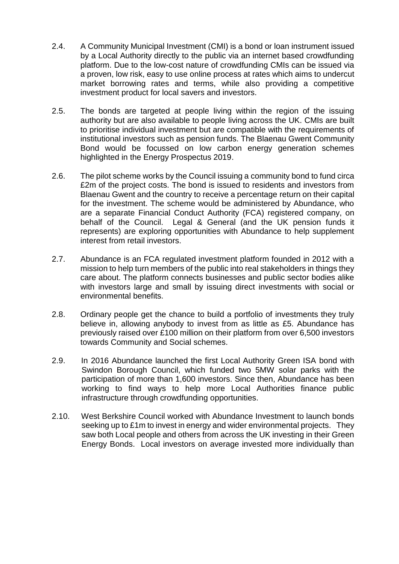- 2.4. A Community Municipal Investment (CMI) is a bond or loan instrument issued by a Local Authority directly to the public via an internet based crowdfunding platform. Due to the low-cost nature of crowdfunding CMIs can be issued via a proven, low risk, easy to use online process at rates which aims to undercut market borrowing rates and terms, while also providing a competitive investment product for local savers and investors.
- 2.5. The bonds are targeted at people living within the region of the issuing authority but are also available to people living across the UK. CMIs are built to prioritise individual investment but are compatible with the requirements of institutional investors such as pension funds. The Blaenau Gwent Community Bond would be focussed on low carbon energy generation schemes highlighted in the Energy Prospectus 2019.
- 2.6. The pilot scheme works by the Council issuing a community bond to fund circa £2m of the project costs. The bond is issued to residents and investors from Blaenau Gwent and the country to receive a percentage return on their capital for the investment. The scheme would be administered by Abundance, who are a separate Financial Conduct Authority (FCA) registered company, on behalf of the Council. Legal & General (and the UK pension funds it represents) are exploring opportunities with Abundance to help supplement interest from retail investors.
- 2.7. Abundance is an FCA regulated investment platform founded in 2012 with a mission to help turn members of the public into real stakeholders in things they care about. The platform connects businesses and public sector bodies alike with investors large and small by issuing direct investments with social or environmental benefits.
- 2.8. Ordinary people get the chance to build a portfolio of investments they truly believe in, allowing anybody to invest from as little as £5. Abundance has previously raised over £100 million on their platform from over 6,500 investors towards Community and Social schemes.
- 2.9. In 2016 Abundance launched the first Local Authority Green ISA bond with Swindon Borough Council, which funded two 5MW solar parks with the participation of more than 1,600 investors. Since then, Abundance has been working to find ways to help more Local Authorities finance public infrastructure through crowdfunding opportunities.
- 2.10. West Berkshire Council worked with Abundance Investment to launch bonds seeking up to £1m to invest in energy and wider environmental projects. They saw both Local people and others from across the UK investing in their Green Energy Bonds. Local investors on average invested more individually than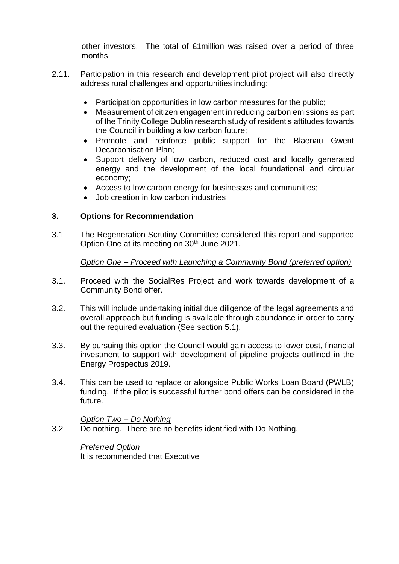other investors. The total of £1million was raised over a period of three months.

- 2.11. Participation in this research and development pilot project will also directly address rural challenges and opportunities including:
	- Participation opportunities in low carbon measures for the public:
	- Measurement of citizen engagement in reducing carbon emissions as part of the Trinity College Dublin research study of resident's attitudes towards the Council in building a low carbon future;
	- Promote and reinforce public support for the Blaenau Gwent Decarbonisation Plan;
	- Support delivery of low carbon, reduced cost and locally generated energy and the development of the local foundational and circular economy;
	- Access to low carbon energy for businesses and communities;
	- Job creation in low carbon industries

# **3. Options for Recommendation**

3.1 The Regeneration Scrutiny Committee considered this report and supported Option One at its meeting on 30<sup>th</sup> June 2021.

## *Option One – Proceed with Launching a Community Bond (preferred option)*

- 3.1. Proceed with the SocialRes Project and work towards development of a Community Bond offer.
- 3.2. This will include undertaking initial due diligence of the legal agreements and overall approach but funding is available through abundance in order to carry out the required evaluation (See section 5.1).
- 3.3. By pursuing this option the Council would gain access to lower cost, financial investment to support with development of pipeline projects outlined in the Energy Prospectus 2019.
- 3.4. This can be used to replace or alongside Public Works Loan Board (PWLB) funding. If the pilot is successful further bond offers can be considered in the future.

### *Option Two – Do Nothing*

3.2 Do nothing. There are no benefits identified with Do Nothing.

*Preferred Option* It is recommended that Executive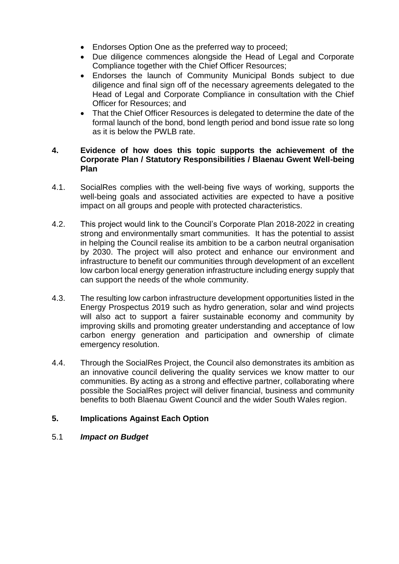- Endorses Option One as the preferred way to proceed;
- Due diligence commences alongside the Head of Legal and Corporate Compliance together with the Chief Officer Resources;
- Endorses the launch of Community Municipal Bonds subject to due diligence and final sign off of the necessary agreements delegated to the Head of Legal and Corporate Compliance in consultation with the Chief Officer for Resources; and
- That the Chief Officer Resources is delegated to determine the date of the formal launch of the bond, bond length period and bond issue rate so long as it is below the PWLB rate.

### **4. Evidence of how does this topic supports the achievement of the Corporate Plan / Statutory Responsibilities / Blaenau Gwent Well-being Plan**

- 4.1. SocialRes complies with the well-being five ways of working, supports the well-being goals and associated activities are expected to have a positive impact on all groups and people with protected characteristics.
- 4.2. This project would link to the Council's Corporate Plan 2018-2022 in creating strong and environmentally smart communities. It has the potential to assist in helping the Council realise its ambition to be a carbon neutral organisation by 2030. The project will also protect and enhance our environment and infrastructure to benefit our communities through development of an excellent low carbon local energy generation infrastructure including energy supply that can support the needs of the whole community.
- 4.3. The resulting low carbon infrastructure development opportunities listed in the Energy Prospectus 2019 such as hydro generation, solar and wind projects will also act to support a fairer sustainable economy and community by improving skills and promoting greater understanding and acceptance of low carbon energy generation and participation and ownership of climate emergency resolution.
- 4.4. Through the SocialRes Project, the Council also demonstrates its ambition as an innovative council delivering the quality services we know matter to our communities. By acting as a strong and effective partner, collaborating where possible the SocialRes project will deliver financial, business and community benefits to both Blaenau Gwent Council and the wider South Wales region.

## **5. Implications Against Each Option**

5.1 *Impact on Budget*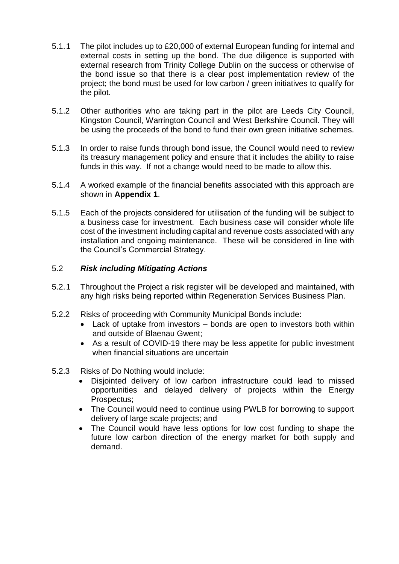- 5.1.1 The pilot includes up to £20,000 of external European funding for internal and external costs in setting up the bond. The due diligence is supported with external research from Trinity College Dublin on the success or otherwise of the bond issue so that there is a clear post implementation review of the project; the bond must be used for low carbon / green initiatives to qualify for the pilot.
- 5.1.2 Other authorities who are taking part in the pilot are Leeds City Council, Kingston Council, Warrington Council and West Berkshire Council. They will be using the proceeds of the bond to fund their own green initiative schemes.
- 5.1.3 In order to raise funds through bond issue, the Council would need to review its treasury management policy and ensure that it includes the ability to raise funds in this way. If not a change would need to be made to allow this.
- 5.1.4 A worked example of the financial benefits associated with this approach are shown in **Appendix 1**.
- 5.1.5 Each of the projects considered for utilisation of the funding will be subject to a business case for investment. Each business case will consider whole life cost of the investment including capital and revenue costs associated with any installation and ongoing maintenance. These will be considered in line with the Council's Commercial Strategy.

### 5.2 *Risk including Mitigating Actions*

- 5.2.1 Throughout the Project a risk register will be developed and maintained, with any high risks being reported within Regeneration Services Business Plan.
- 5.2.2 Risks of proceeding with Community Municipal Bonds include:
	- Lack of uptake from investors bonds are open to investors both within and outside of Blaenau Gwent;
	- As a result of COVID-19 there may be less appetite for public investment when financial situations are uncertain
- 5.2.3 Risks of Do Nothing would include:
	- Disjointed delivery of low carbon infrastructure could lead to missed opportunities and delayed delivery of projects within the Energy Prospectus;
	- The Council would need to continue using PWLB for borrowing to support delivery of large scale projects; and
	- The Council would have less options for low cost funding to shape the future low carbon direction of the energy market for both supply and demand.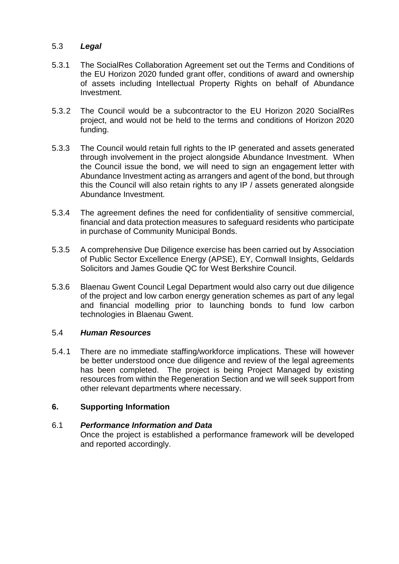### 5.3 *Legal*

- 5.3.1 The SocialRes Collaboration Agreement set out the Terms and Conditions of the EU Horizon 2020 funded grant offer, conditions of award and ownership of assets including Intellectual Property Rights on behalf of Abundance Investment.
- 5.3.2 The Council would be a subcontractor to the EU Horizon 2020 SocialRes project, and would not be held to the terms and conditions of Horizon 2020 funding.
- 5.3.3 The Council would retain full rights to the IP generated and assets generated through involvement in the project alongside Abundance Investment. When the Council issue the bond, we will need to sign an engagement letter with Abundance Investment acting as arrangers and agent of the bond, but through this the Council will also retain rights to any IP / assets generated alongside Abundance Investment.
- 5.3.4 The agreement defines the need for confidentiality of sensitive commercial, financial and data protection measures to safeguard residents who participate in purchase of Community Municipal Bonds.
- 5.3.5 A comprehensive Due Diligence exercise has been carried out by Association of Public Sector Excellence Energy (APSE), EY, Cornwall Insights, Geldards Solicitors and James Goudie QC for West Berkshire Council.
- 5.3.6 Blaenau Gwent Council Legal Department would also carry out due diligence of the project and low carbon energy generation schemes as part of any legal and financial modelling prior to launching bonds to fund low carbon technologies in Blaenau Gwent.

### 5.4 *Human Resources*

5.4.1 There are no immediate staffing/workforce implications. These will however be better understood once due diligence and review of the legal agreements has been completed. The project is being Project Managed by existing resources from within the Regeneration Section and we will seek support from other relevant departments where necessary.

### **6. Supporting Information**

#### 6.1 *Performance Information and Data*

Once the project is established a performance framework will be developed and reported accordingly.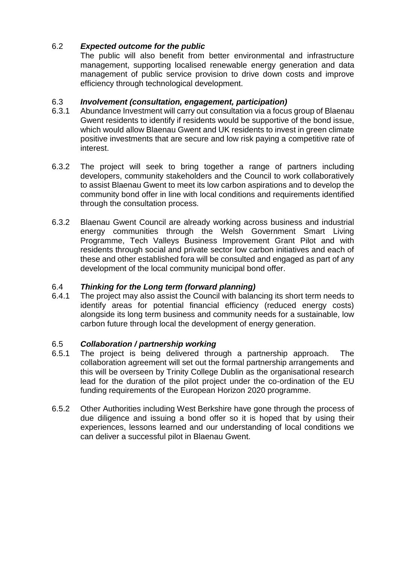# 6.2 *Expected outcome for the public*

The public will also benefit from better environmental and infrastructure management, supporting localised renewable energy generation and data management of public service provision to drive down costs and improve efficiency through technological development.

## 6.3 *Involvement (consultation, engagement, participation)*

- 6.3.1 Abundance Investment will carry out consultation via a focus group of Blaenau Gwent residents to identify if residents would be supportive of the bond issue, which would allow Blaenau Gwent and UK residents to invest in green climate positive investments that are secure and low risk paying a competitive rate of interest.
- 6.3.2 The project will seek to bring together a range of partners including developers, community stakeholders and the Council to work collaboratively to assist Blaenau Gwent to meet its low carbon aspirations and to develop the community bond offer in line with local conditions and requirements identified through the consultation process.
- 6.3.2 Blaenau Gwent Council are already working across business and industrial energy communities through the Welsh Government Smart Living Programme, Tech Valleys Business Improvement Grant Pilot and with residents through social and private sector low carbon initiatives and each of these and other established fora will be consulted and engaged as part of any development of the local community municipal bond offer.

# 6.4 *Thinking for the Long term (forward planning)*

6.4.1 The project may also assist the Council with balancing its short term needs to identify areas for potential financial efficiency (reduced energy costs) alongside its long term business and community needs for a sustainable, low carbon future through local the development of energy generation.

## 6.5 *Collaboration / partnership working*

- 6.5.1 The project is being delivered through a partnership approach. The collaboration agreement will set out the formal partnership arrangements and this will be overseen by Trinity College Dublin as the organisational research lead for the duration of the pilot project under the co-ordination of the EU funding requirements of the European Horizon 2020 programme.
- 6.5.2 Other Authorities including West Berkshire have gone through the process of due diligence and issuing a bond offer so it is hoped that by using their experiences, lessons learned and our understanding of local conditions we can deliver a successful pilot in Blaenau Gwent.